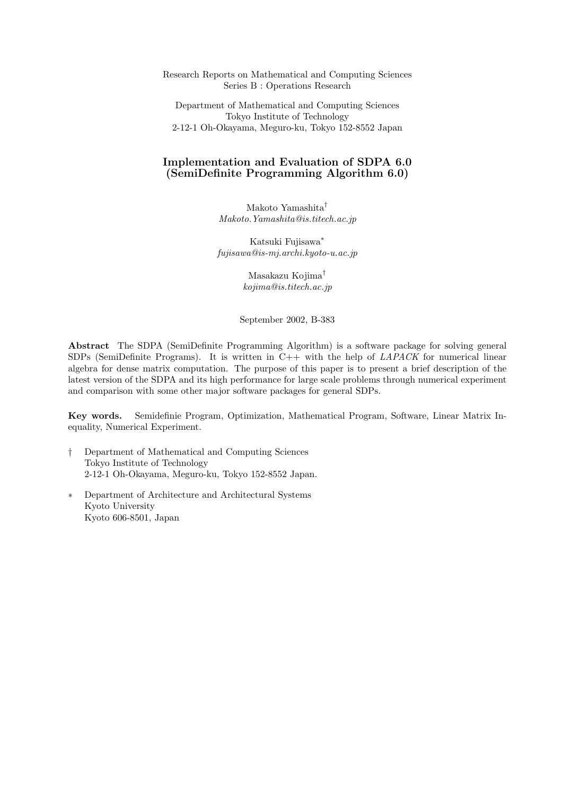Research Reports on Mathematical and Computing Sciences Series B : Operations Research

Department of Mathematical and Computing Sciences Tokyo Institute of Technology 2-12-1 Oh-Okayama, Meguro-ku, Tokyo 152-8552 Japan

## Implementation and Evaluation of SDPA 6.0 (SemiDefinite Programming Algorithm 6.0)

Makoto Yamashita† Makoto.Yamashita@is.titech.ac.jp

Katsuki Fujisawa<sup>∗</sup> fujisawa@is-mj.archi.kyoto-u.ac.jp

> Masakazu Kojima† kojima@is.titech.ac.jp

September 2002, B-383

Abstract The SDPA (SemiDefinite Programming Algorithm) is a software package for solving general SDPs (SemiDefinite Programs). It is written in  $C++$  with the help of *LAPACK* for numerical linear algebra for dense matrix computation. The purpose of this paper is to present a brief description of the latest version of the SDPA and its high performance for large scale problems through numerical experiment and comparison with some other major software packages for general SDPs.

Key words. Semidefinie Program, Optimization, Mathematical Program, Software, Linear Matrix Inequality, Numerical Experiment.

- † Department of Mathematical and Computing Sciences Tokyo Institute of Technology 2-12-1 Oh-Okayama, Meguro-ku, Tokyo 152-8552 Japan.
- ∗ Department of Architecture and Architectural Systems Kyoto University Kyoto 606-8501, Japan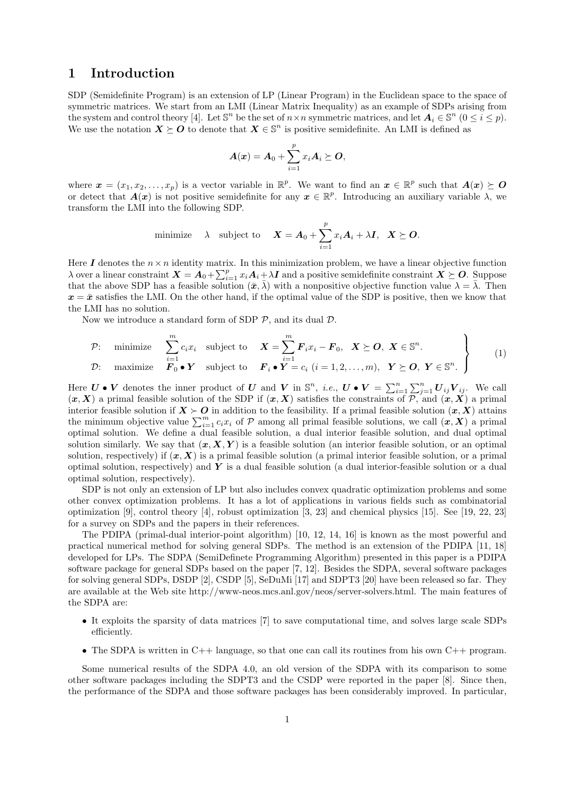## 1 Introduction

SDP (Semidefinite Program) is an extension of LP (Linear Program) in the Euclidean space to the space of symmetric matrices. We start from an LMI (Linear Matrix Inequality) as an example of SDPs arising from the system and control theory [4]. Let  $\mathbb{S}^n$  be the set of  $n \times n$  symmetric matrices, and let  $A_i \in \mathbb{S}^n$   $(0 \le i \le p)$ . We use the notation  $\boldsymbol{X} \succeq \boldsymbol{O}$  to denote that  $\boldsymbol{X} \in \mathbb{S}^n$  is positive semidefinite. An LMI is defined as

$$
A(x) = A_0 + \sum_{i=1}^p x_i A_i \succeq O,
$$

where  $\boldsymbol{x} = (x_1, x_2, \dots, x_p)$  is a vector variable in  $\mathbb{R}^p$ . We want to find an  $\boldsymbol{x} \in \mathbb{R}^p$  such that  $\boldsymbol{A}(\boldsymbol{x}) \succeq \boldsymbol{O}$ or detect that  $A(x)$  is not positive semidefinite for any  $x \in \mathbb{R}^p$ . Introducing an auxiliary variable  $\lambda$ , we transform the LMI into the following SDP.

minimize 
$$
\lambda
$$
 subject to  $\mathbf{X} = \mathbf{A}_0 + \sum_{i=1}^p x_i \mathbf{A}_i + \lambda \mathbf{I}, \ \mathbf{X} \succeq \mathbf{O}.$ 

Here I denotes the  $n \times n$  identity matrix. In this minimization problem, we have a linear objective function Here *I* denotes the  $n \times n$  identity matrix. In this minimization problem, we have a linear objective function  $\lambda$  over a linear constraint  $\boldsymbol{X} = \boldsymbol{A}_0 + \sum_{i=1}^p x_i \boldsymbol{A}_i + \lambda \boldsymbol{I}$  and a positive semidefinite constra that the above SDP has a feasible solution  $(\bar{x}, \bar{\lambda})$  with a nonpositive objective function value  $\lambda = \bar{\lambda}$ . Then  $x = \bar{x}$  satisfies the LMI. On the other hand, if the optimal value of the SDP is positive, then we know that the LMI has no solution.

Now we introduce a standard form of SDP  $P$ , and its dual  $D$ .

$$
\mathcal{P}: \text{ minimize } \sum_{i=1}^{m} c_i x_i \text{ subject to } \mathbf{X} = \sum_{i=1}^{m} \mathbf{F}_i x_i - \mathbf{F}_0, \quad \mathbf{X} \succeq \mathbf{O}, \quad \mathbf{X} \in \mathbb{S}^n.
$$
\n
$$
\mathcal{D}: \text{ maximize } \mathbf{F}_0 \bullet \mathbf{Y} \text{ subject to } \mathbf{F}_i \bullet \mathbf{Y} = c_i \ (i = 1, 2, ..., m), \quad \mathbf{Y} \succeq \mathbf{O}, \quad \mathbf{Y} \in \mathbb{S}^n.
$$
\n
$$
(1)
$$

Here  $U \bullet V$  denotes the inner product of U and V in  $\mathbb{S}^n$ , *i.e.*,  $U \bullet V = \sum_{i=1}^n \sum_{j=1}^n U_{ij} V_{ij}$ . We call  $(x, X)$  a primal feasible solution of the SDP if  $(x, X)$  satisfies the constraints of P, and  $(x, X)$  a primal interior feasible solution if  $X \succ O$  in addition to the feasibility. If a primal feasible solution  $(x, X)$  attains the minimum objective value  $\sum_{i=1}^{m} c_i x_i$  of P among all primal feasible solutions, we call  $(x, X)$  a primal the minimum objective value  $\sum_{i=1}^{m} c_i x_i$  of P among all primal feasible solutions, we call  $(x, X)$  a primal optimal solution. We define a dual feasible solution, a dual interior feasible solution, and dual optimal solution similarly. We say that  $(x, X, Y)$  is a feasible solution (an interior feasible solution, or an optimal solution, respectively) if  $(x, X)$  is a primal feasible solution (a primal interior feasible solution, or a primal optimal solution, respectively) and  $Y$  is a dual feasible solution (a dual interior-feasible solution or a dual optimal solution, respectively).

SDP is not only an extension of LP but also includes convex quadratic optimization problems and some other convex optimization problems. It has a lot of applications in various fields such as combinatorial optimization [9], control theory [4], robust optimization [3, 23] and chemical physics [15]. See [19, 22, 23] for a survey on SDPs and the papers in their references.

The PDIPA (primal-dual interior-point algorithm) [10, 12, 14, 16] is known as the most powerful and practical numerical method for solving general SDPs. The method is an extension of the PDIPA [11, 18] developed for LPs. The SDPA (SemiDefinete Programming Algorithm) presented in this paper is a PDIPA software package for general SDPs based on the paper [7, 12]. Besides the SDPA, several software packages for solving general SDPs, DSDP [2], CSDP [5], SeDuMi [17] and SDPT3 [20] have been released so far. They are available at the Web site http://www-neos.mcs.anl.gov/neos/server-solvers.html. The main features of the SDPA are:

- It exploits the sparsity of data matrices [7] to save computational time, and solves large scale SDPs efficiently.
- The SDPA is written in  $C++$  language, so that one can call its routines from his own  $C++$  program.

Some numerical results of the SDPA 4.0, an old version of the SDPA with its comparison to some other software packages including the SDPT3 and the CSDP were reported in the paper [8]. Since then, the performance of the SDPA and those software packages has been considerably improved. In particular,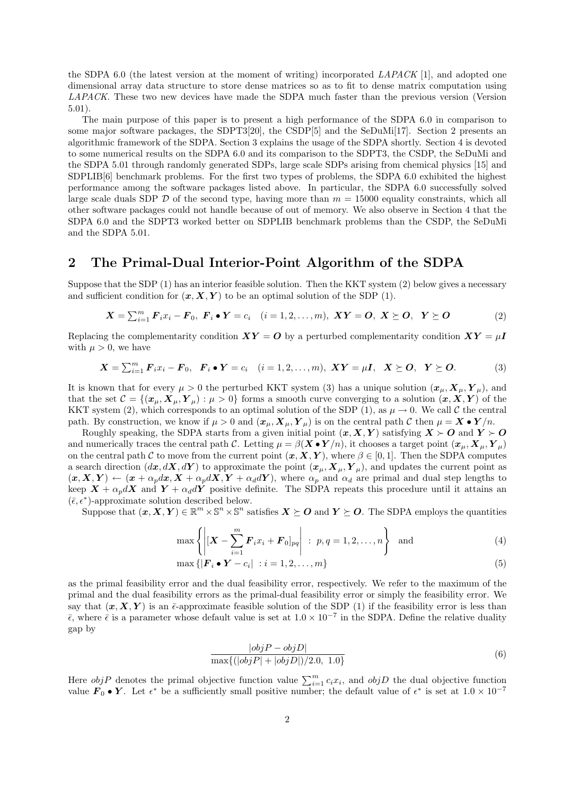the SDPA 6.0 (the latest version at the moment of writing) incorporated LAPACK [1], and adopted one dimensional array data structure to store dense matrices so as to fit to dense matrix computation using LAPACK. These two new devices have made the SDPA much faster than the previous version (Version 5.01).

The main purpose of this paper is to present a high performance of the SDPA 6.0 in comparison to some major software packages, the SDPT3[20], the CSDP[5] and the SeDuMi[17]. Section 2 presents an algorithmic framework of the SDPA. Section 3 explains the usage of the SDPA shortly. Section 4 is devoted to some numerical results on the SDPA 6.0 and its comparison to the SDPT3, the CSDP, the SeDuMi and the SDPA 5.01 through randomly generated SDPs, large scale SDPs arising from chemical physics [15] and SDPLIB[6] benchmark problems. For the first two types of problems, the SDPA 6.0 exhibited the highest performance among the software packages listed above. In particular, the SDPA 6.0 successfully solved large scale duals SDP  $D$  of the second type, having more than  $m = 15000$  equality constraints, which all other software packages could not handle because of out of memory. We also observe in Section 4 that the SDPA 6.0 and the SDPT3 worked better on SDPLIB benchmark problems than the CSDP, the SeDuMi and the SDPA 5.01.

# 2 The Primal-Dual Interior-Point Algorithm of the SDPA

Suppose that the SDP (1) has an interior feasible solution. Then the KKT system (2) below gives a necessary and sufficient condition for  $(x, X, Y)$  to be an optimal solution of the SDP (1).

$$
\boldsymbol{X} = \sum_{i=1}^{m} \boldsymbol{F}_{i} x_{i} - \boldsymbol{F}_{0}, \ \boldsymbol{F}_{i} \bullet \boldsymbol{Y} = c_{i} \quad (i = 1, 2, ..., m), \ \boldsymbol{X} \boldsymbol{Y} = \boldsymbol{O}, \ \boldsymbol{X} \succeq \boldsymbol{O}, \ \ \boldsymbol{Y} \succeq \boldsymbol{O} \tag{2}
$$

Replacing the complementarity condition  $XY = O$  by a perturbed complementarity condition  $XY = \mu I$ with  $\mu > 0$ , we have

$$
\boldsymbol{X} = \sum_{i=1}^{m} \boldsymbol{F}_{i} x_{i} - \boldsymbol{F}_{0}, \ \ \boldsymbol{F}_{i} \bullet \boldsymbol{Y} = c_{i} \quad (i = 1, 2, \ldots, m), \ \boldsymbol{X} \boldsymbol{Y} = \mu \boldsymbol{I}, \ \ \boldsymbol{X} \succeq \boldsymbol{O}, \ \ \boldsymbol{Y} \succeq \boldsymbol{O}.
$$
 (3)

It is known that for every  $\mu > 0$  the perturbed KKT system (3) has a unique solution  $(\mathbf{x}_{\mu}, \mathbf{X}_{\mu}, \mathbf{Y}_{\mu})$ , and that the set  $\mathcal{C} = \{(\boldsymbol{x}_{\mu}, \boldsymbol{X}_{\mu}, \boldsymbol{Y}_{\mu}) : \mu > 0\}$  forms a smooth curve converging to a solution  $(\boldsymbol{x}, \boldsymbol{X}, \boldsymbol{Y})$  of the KKT system (2), which corresponds to an optimal solution of the SDP (1), as  $\mu \to 0$ . We call C the central path. By construction, we know if  $\mu > 0$  and  $(\mathbf{x}_{\mu}, \mathbf{X}_{\mu}, \mathbf{Y}_{\mu})$  is on the central path C then  $\mu = \mathbf{X} \bullet \mathbf{Y}/n$ .

Roughly speaking, the SDPA starts from a given initial point  $(x, X, Y)$  satisfying  $X \succ O$  and  $Y \succ O$ and numerically traces the central path C. Letting  $\mu = \beta(\mathbf{X} \bullet \mathbf{Y}/n)$ , it chooses a target point  $(\mathbf{x}_{\mu}, \mathbf{X}_{\mu}, \mathbf{Y}_{\mu})$ on the central path C to move from the current point  $(x, X, Y)$ , where  $\beta \in [0, 1]$ . Then the SDPA computes a search direction  $(dx, dX, dY)$  to approximate the point  $(x_{\mu}, X_{\mu}, Y_{\mu})$ , and updates the current point as  $(x, X, Y) \leftarrow (x + \alpha_p dx, X + \alpha_p dX, Y + \alpha_d dY)$ , where  $\alpha_p$  and  $\alpha_d$  are primal and dual step lengths to keep  $X + \alpha_p dX$  and  $Y + \alpha_d dY$  positive definite. The SDPA repeats this procedure until it attains an  $(\bar{\epsilon}, \epsilon^*)$ -approximate solution described below.

Suppose that  $(x, X, Y) \in \mathbb{R}^m \times \mathbb{S}^n \times \mathbb{S}^n$  satisfies  $X \succeq O$  and  $Y \succeq O$ . The SDPA employs the quantities

$$
\max\left\{ \left| \left[ \boldsymbol{X} - \sum_{i=1}^{m} \boldsymbol{F}_{i} x_{i} + \boldsymbol{F}_{0} \right]_{pq} \right| : p, q = 1, 2, \ldots, n \right\} \text{ and } (4)
$$

$$
\max\left\{|\boldsymbol{F}_i \bullet \boldsymbol{Y} - c_i| \; : i = 1, 2, \dots, m\right\} \tag{5}
$$

as the primal feasibility error and the dual feasibility error, respectively. We refer to the maximum of the primal and the dual feasibility errors as the primal-dual feasibility error or simply the feasibility error. We say that  $(x, X, Y)$  is an  $\bar{\epsilon}$ -approximate feasible solution of the SDP (1) if the feasibility error is less than  $\bar{\epsilon}$ , where  $\bar{\epsilon}$  is a parameter whose default value is set at  $1.0 \times 10^{-7}$  in the SDPA. Define the relative duality gap by

$$
\frac{|objP - objD|}{\max\{(|objP| + |objD|)/2.0, 1.0\}}\tag{6}
$$

Here  $objP$  denotes the primal objective function value  $\sum_{i=1}^{m} c_i x_i$ , and  $objD$  the dual objective function value  $\mathbf{F}_0 \bullet \mathbf{Y}$ . Let  $\epsilon^*$  be a sufficiently small positive number; the default value of  $\epsilon^*$  is set at  $1.0 \times 10^{-7}$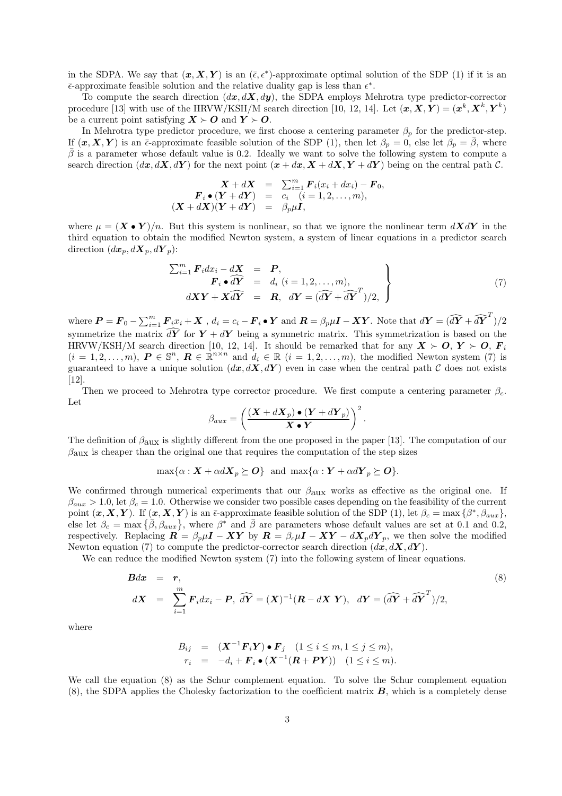in the SDPA. We say that  $(x, X, Y)$  is an  $(\bar{\epsilon}, \epsilon^*)$ -approximate optimal solution of the SDP (1) if it is an  $\bar{\epsilon}$ -approximate feasible solution and the relative duality gap is less than  $\epsilon^*$ .

To compute the search direction  $(dx, dX, dy)$ , the SDPA employs Mehrotra type predictor-corrector procedure [13] with use of the HRVW/KSH/M search direction [10, 12, 14]. Let  $(\boldsymbol{x}, \boldsymbol{X}, \boldsymbol{Y}) = (\boldsymbol{x}^k, \boldsymbol{X}^k, \boldsymbol{Y}^k)$ be a current point satisfying  $X \succ O$  and  $Y \succ O$ .

In Mehrotra type predictor procedure, we first choose a centering parameter  $\beta_p$  for the predictor-step. If  $(x, X, Y)$  is an  $\bar{\epsilon}$ -approximate feasible solution of the SDP (1), then let  $\beta_p = 0$ , else let  $\beta_p = \beta$ , where  $\bar{\beta}$  is a parameter whose default value is 0.2. Ideally we want to solve the following system to compute a search direction  $(dx, dX, dY)$  for the next point  $(x + dx, X + dX, Y + dY)$  being on the central path C.

$$
\begin{array}{rcl}\n\boldsymbol{X} + d\boldsymbol{X} & = & \sum_{i=1}^{m} \boldsymbol{F}_i(x_i + dx_i) - \boldsymbol{F}_0, \\
\boldsymbol{F}_i \bullet (\boldsymbol{Y} + d\boldsymbol{Y}) & = & c_i \quad (i = 1, 2, \dots, m), \\
(\boldsymbol{X} + d\boldsymbol{X})(\boldsymbol{Y} + d\boldsymbol{Y}) & = & \beta_p \mu \boldsymbol{I},\n\end{array}
$$

where  $\mu = (\mathbf{X} \bullet \mathbf{Y})/n$ . But this system is nonlinear, so that we ignore the nonlinear term  $d\mathbf{X}d\mathbf{Y}$  in the third equation to obtain the modified Newton system, a system of linear equations in a predictor search direction  $(dx_p, d\mathbf{X}_p, d\mathbf{Y}_p)$ :

$$
\sum_{i=1}^{m} \mathbf{F}_i dx_i - d\mathbf{X} = \mathbf{P},
$$
  
\n
$$
\mathbf{F}_i \bullet \widehat{d\mathbf{Y}} = d_i \ (i = 1, 2, ..., m),
$$
  
\n
$$
d\mathbf{X} \mathbf{Y} + \mathbf{X} \widehat{d\mathbf{Y}} = \mathbf{R}, \ d\mathbf{Y} = (\widehat{d\mathbf{Y}} + \widehat{d\mathbf{Y}}^T)/2,
$$
\n(7)

where  $\boldsymbol{P} = \boldsymbol{F}_0 - \sum_{i=1}^m \boldsymbol{F}_i x_i + \boldsymbol{X}$  ,  $d_i = c_i - \boldsymbol{F}_i \bullet \boldsymbol{Y}$  and  $\boldsymbol{R} = \beta_p \mu \boldsymbol{I} - \boldsymbol{X} \boldsymbol{Y}$ . Note that  $d\boldsymbol{Y} = (\widehat{d\boldsymbol{Y}} + \widehat{d\boldsymbol{Y}}^T)/2$ symmetrize the matrix  $\widehat{d\mathbf{Y}}$  for  $\mathbf{Y} + d\mathbf{Y}$  being a symmetric matrix. This symmetrization is based on the HRVW/KSH/M search direction [10, 12, 14]. It should be remarked that for any  $X \succ O$ ,  $Y \succ O$ ,  $F_i$  $(i = 1, 2, \ldots, m)$ ,  $P \in \mathbb{S}^n$ ,  $R \in \mathbb{R}^{n \times n}$  and  $d_i \in \mathbb{R}$   $(i = 1, 2, \ldots, m)$ , the modified Newton system (7) is guaranteed to have a unique solution  $(dx, dX, dY)$  even in case when the central path C does not exists [12].

Then we proceed to Mehrotra type corrector procedure. We first compute a centering parameter  $\beta_c$ . Let  $\overline{a}$  $\sqrt{2}$ 

$$
\beta_{aux} = \left(\frac{(X + dX_p) \bullet (Y + dY_p)}{X \bullet Y}\right)^2.
$$

The definition of  $\beta_{\text{aux}}$  is slightly different from the one proposed in the paper [13]. The computation of our  $\beta_{\text{aux}}$  is cheaper than the original one that requires the computation of the step sizes

$$
\max\{\alpha: \mathbf{X} + \alpha d\mathbf{X}_p \succeq \mathbf{O}\} \text{ and } \max\{\alpha: \mathbf{Y} + \alpha d\mathbf{Y}_p \succeq \mathbf{O}\}.
$$

We confirmed through numerical experiments that our  $\beta_{\text{aux}}$  works as effective as the original one. If  $\beta_{aux} > 1.0$ , let  $\beta_c = 1.0$ . Otherwise we consider two possible cases depending on the feasibility of the current point  $(x, X, Y)$ . If  $(x, X, Y)$  is an  $\bar{\epsilon}$ -approximate feasible solution of the SDP (1), let  $\beta_c = \max\{\beta^*, \beta_{aux}\},$ point  $(\mathbf{x}, \mathbf{X}, \mathbf{Y})$ . If  $(\mathbf{x}, \mathbf{X}, \mathbf{Y})$  is an e-approximate reasible solution of the SDP (1), let  $\beta_c = \max{\{\beta, \beta_{aux}\}}$ , else let  $\beta_c = \max{\{\bar{\beta}, \beta_{aux}\}}$ , where  $\beta^*$  and  $\bar{\beta}$  are parameters whose default values a respectively. Replacing  $\mathbf{R} = \beta_p \mu \mathbf{I} - \mathbf{X} \mathbf{Y}$  by  $\mathbf{R} = \beta_c \mu \mathbf{I} - \mathbf{X} \mathbf{Y} - d\mathbf{X}_p d\mathbf{Y}_p$ , we then solve the modified Newton equation (7) to compute the predictor-corrector search direction  $(dx, dX, dY)$ .

We can reduce the modified Newton system  $(7)$  into the following system of linear equations.

$$
\begin{array}{rcl}\n\mathbf{B}d\mathbf{x} & = & \mathbf{r}, \\
d\mathbf{X} & = & \sum_{i=1}^{m} \mathbf{F}_i dx_i - \mathbf{P}, \\
\widehat{d\mathbf{Y}} & = & (\mathbf{X})^{-1} (\mathbf{R} - d\mathbf{X} \ \mathbf{Y}), \\
d\mathbf{Y} & = & (\widehat{d\mathbf{Y}} + \widehat{d\mathbf{Y}}^T)/2,\n\end{array} \tag{8}
$$

where

$$
B_{ij} = (\mathbf{X}^{-1} \mathbf{F}_i \mathbf{Y}) \bullet \mathbf{F}_j \quad (1 \le i \le m, 1 \le j \le m),
$$
  
\n
$$
r_i = -d_i + \mathbf{F}_i \bullet (\mathbf{X}^{-1} (\mathbf{R} + \mathbf{P} \mathbf{Y})) \quad (1 \le i \le m).
$$

We call the equation (8) as the Schur complement equation. To solve the Schur complement equation  $(8)$ , the SDPA applies the Cholesky factorization to the coefficient matrix  $\bf{B}$ , which is a completely dense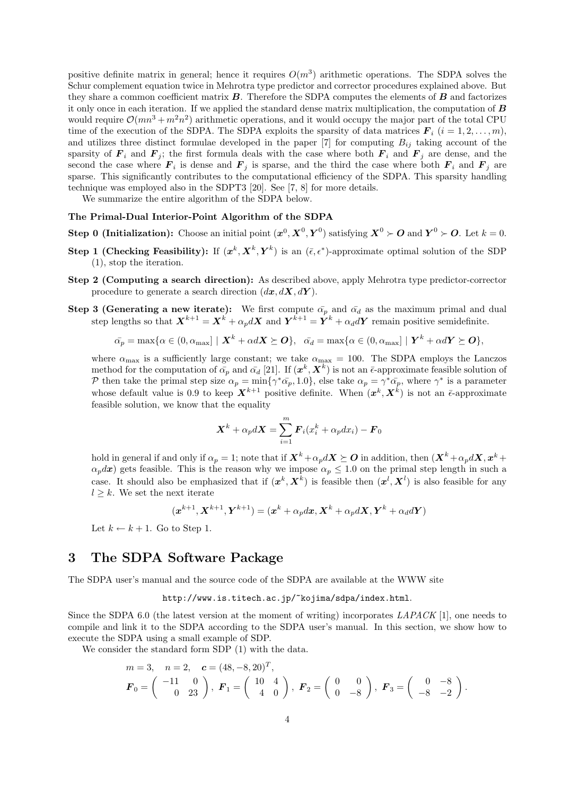positive definite matrix in general; hence it requires  $O(m^3)$  arithmetic operations. The SDPA solves the Schur complement equation twice in Mehrotra type predictor and corrector procedures explained above. But they share a common coefficient matrix  $\bm{B}$ . Therefore the SDPA computes the elements of  $\bm{B}$  and factorizes it only once in each iteration. If we applied the standard dense matrix multiplication, the computation of  $\bm{B}$ would require  $\mathcal{O}(mn^3 + m^2n^2)$  arithmetic operations, and it would occupy the major part of the total CPU time of the execution of the SDPA. The SDPA exploits the sparsity of data matrices  $\mathbf{F}_i$   $(i = 1, 2, \ldots, m)$ , and utilizes three distinct formulae developed in the paper  $[7]$  for computing  $B_{ij}$  taking account of the sparsity of  $\mathbf{F}_i$  and  $\mathbf{F}_j$ ; the first formula deals with the case where both  $\mathbf{F}_i$  and  $\mathbf{F}_j$  are dense, and the second the case where  $\mathbf{F}_i$  is dense and  $\mathbf{F}_j$  is sparse, and the third the case where both  $\mathbf{F}_i$  and  $\mathbf{F}_j$  are sparse. This significantly contributes to the computational efficiency of the SDPA. This sparsity handling technique was employed also in the SDPT3 [20]. See [7, 8] for more details.

We summarize the entire algorithm of the SDPA below.

### The Primal-Dual Interior-Point Algorithm of the SDPA

- **Step 0 (Initialization):** Choose an initial point  $(x^0, X^0, Y^0)$  satisfying  $X^0 \succ O$  and  $Y^0 \succ O$ . Let  $k = 0$ .
- Step 1 (Checking Feasibility): If  $(x^k, X^k, Y^k)$  is an  $(\bar{\epsilon}, \epsilon^*)$ -approximate optimal solution of the SDP (1), stop the iteration.
- Step 2 (Computing a search direction): As described above, apply Mehrotra type predictor-corrector procedure to generate a search direction  $(dx, dX, dY)$ .
- Step 3 (Generating a new iterate): We first compute  $\bar{\alpha_p}$  and  $\bar{\alpha_d}$  as the maximum primal and dual step lengths so that  $\boldsymbol{X}^{k+1} = \boldsymbol{X}^k + \alpha_p d\boldsymbol{X}$  and  $\boldsymbol{Y}^{k+1} = \boldsymbol{Y}^k + \alpha_d d\boldsymbol{Y}$  remain positive semidefinite.

$$
\bar{\alpha_p} = \max \{ \alpha \in (0, \alpha_{\max}) \mid \mathbf{X}^k + \alpha d\mathbf{X} \succeq \mathbf{O} \}, \quad \bar{\alpha_d} = \max \{ \alpha \in (0, \alpha_{\max}) \mid \mathbf{Y}^k + \alpha d\mathbf{Y} \succeq \mathbf{O} \},
$$

where  $\alpha_{\text{max}}$  is a sufficiently large constant; we take  $\alpha_{\text{max}} = 100$ . The SDPA employs the Lanczos method for the computation of  $\bar{\alpha}_p$  and  $\bar{\alpha}_d$  [21]. If  $(x^k, X^k)$  is not an  $\bar{\epsilon}$ -approximate feasible solution of P then take the primal step size  $\alpha_p = \min\{\gamma^*\bar{\alpha}_p, 1.0\}$ , else take  $\alpha_p = \gamma^*\bar{\alpha}_p$ , where  $\gamma^*$  is a parameter whose default value is 0.9 to keep  $X^{k+1}$  positive definite. When  $(x^k, X^k)$  is not an  $\bar{\epsilon}$ -approximate feasible solution, we know that the equality

$$
\boldsymbol{X}^k + \alpha_p d\boldsymbol{X} = \sum_{i=1}^m \boldsymbol{F}_i(x_i^k + \alpha_p dx_i) - \boldsymbol{F}_0
$$

hold in general if and only if  $\alpha_p = 1$ ; note that if  $X^k + \alpha_p dX \succeq \mathbf{O}$  in addition, then  $(X^k + \alpha_p dX, x^k + \alpha_p dX)$  $\alpha_p dx$ ) gets feasible. This is the reason why we impose  $\alpha_p \leq 1.0$  on the primal step length in such a case. It should also be emphasized that if  $(x^k, X^k)$  is feasible then  $(x^l, X^l)$  is also feasible for any  $l \geq k$ . We set the next iterate

$$
(\boldsymbol{x}^{k+1},\boldsymbol{X}^{k+1},\boldsymbol{Y}^{k+1})=(\boldsymbol{x}^k+\alpha_p d\boldsymbol{x},\boldsymbol{X}^k+\alpha_p d\boldsymbol{X},\boldsymbol{Y}^k+\alpha_d d\boldsymbol{Y})
$$

Let  $k \leftarrow k + 1$ . Go to Step 1.

# 3 The SDPA Software Package

The SDPA user's manual and the source code of the SDPA are available at the WWW site

http://www.is.titech.ac.jp/~kojima/sdpa/index.html.

Since the SDPA 6.0 (the latest version at the moment of writing) incorporates  $LAPACK$  [1], one needs to compile and link it to the SDPA according to the SDPA user's manual. In this section, we show how to execute the SDPA using a small example of SDP.

We consider the standard form SDP (1) with the data.

$$
m = 3, \quad n = 2, \quad \mathbf{c} = (48, -8, 20)^T,
$$
  

$$
\mathbf{F}_0 = \begin{pmatrix} -11 & 0 \\ 0 & 23 \end{pmatrix}, \quad \mathbf{F}_1 = \begin{pmatrix} 10 & 4 \\ 4 & 0 \end{pmatrix}, \quad \mathbf{F}_2 = \begin{pmatrix} 0 & 0 \\ 0 & -8 \end{pmatrix}, \quad \mathbf{F}_3 = \begin{pmatrix} 0 & -8 \\ -8 & -2 \end{pmatrix}.
$$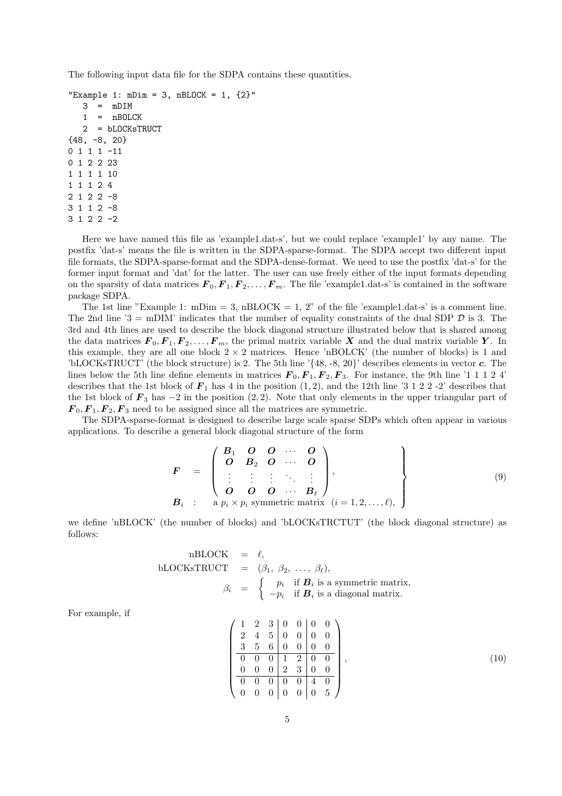The following input data file for the SDPA contains these quantities.

```
"Example 1: mDim = 3, nBLOCK = 1, {2}"
   3 = mDIM1 = nBOLCK2 = bLOCKsTRUCT
{48, -8, 20}
0 1 1 1 -11
0 1 2 2 23
1 1 1 1 10
1 1 1 2 4
2 1 2 2 -8
3 1 1 2 -8
3 1 2 2 -2
```
Here we have named this file as 'example1.dat-s', but we could replace 'example1' by any name. The postfix 'dat-s' means the file is written in the SDPA-sparse-format. The SDPA accept two different input file formats, the SDPA-sparse-format and the SDPA-dense-format. We need to use the postfix 'dat-s' for the former input format and 'dat' for the latter. The user can use freely either of the input formats depending on the sparsity of data matrices  $\mathbf{F}_0,\mathbf{F}_1,\mathbf{F}_2,\ldots,\mathbf{F}_m$ . The file 'example1.dat-s' is contained in the software package SDPA.

The 1st line "Example 1: mDim = 3, nBLOCK = 1, 2" of the file 'example1.dat-s' is a comment line. The 2nd line '3 = mDIM' indicates that the number of equality constraints of the dual SDP  $\mathcal D$  is 3. The 3rd and 4th lines are used to describe the block diagonal structure illustrated below that is shared among the data matrices  $\mathbf{F}_0, \mathbf{F}_1, \mathbf{F}_2, \ldots, \mathbf{F}_m$ , the primal matrix variable X and the dual matrix variable Y. In this example, they are all one block  $2 \times 2$  matrices. Hence 'nBOLCK' (the number of blocks) is 1 and 'bLOCKsTRUCT' (the block structure) is 2. The 5th line ' $\{48, -8, 20\}$ ' describes elements in vector c. The lines below the 5th line define elements in matrices  $\mathbf{F}_0, \mathbf{F}_1, \mathbf{F}_2, \mathbf{F}_3$ . For instance, the 9th line '1 1 1 2 4' describes that the 1st block of  $\mathbf{F}_1$  has 4 in the position  $(1, 2)$ , and the 12th line '3 1 2 2 -2' describes that the 1st block of  $\mathbf{F}_3$  has  $-2$  in the position  $(2, 2)$ . Note that only elements in the upper triangular part of  $\mathbf{F}_0, \mathbf{F}_1, \mathbf{F}_2, \mathbf{F}_3$  need to be assigned since all the matrices are symmetric.

The SDPA-sparse-format is designed to describe large scale sparse SDPs which often appear in various applications. To describe a general block diagonal structure of the form

$$
\mathbf{F} = \begin{pmatrix} B_1 & O & O & \cdots & O \\ O & B_2 & O & \cdots & O \\ \vdots & \vdots & \vdots & \ddots & \vdots \\ O & O & O & \cdots & B_\ell \end{pmatrix},
$$
\n
$$
\mathbf{B}_i \quad \vdots \quad \mathbf{a} \quad p_i \times p_i \quad \text{symmetric matrix} \quad (i = 1, 2, \ldots, \ell),
$$
\n
$$
(9)
$$

we define 'nBLOCK' (the number of blocks) and 'bLOCKsTRCTUT' (the block diagonal structure) as follows:

nBLOCK = 
$$
\ell
$$
,  
\nbLOCKsTRUCT =  $(\beta_1, \beta_2, ..., \beta_\ell)$ ,  
\n $\beta_i = \begin{cases}\np_i & \text{if } \mathbf{B}_i \text{ is a symmetric matrix,} \\
-p_i & \text{if } \mathbf{B}_i \text{ is a diagonal matrix.}\n\end{cases}$ 

For example, if

$$
\begin{pmatrix}\n1 & 2 & 3 & 0 & 0 & 0 & 0 \\
2 & 4 & 5 & 0 & 0 & 0 & 0 \\
3 & 5 & 6 & 0 & 0 & 0 & 0 \\
\hline\n0 & 0 & 0 & 1 & 2 & 0 & 0 \\
0 & 0 & 0 & 2 & 3 & 0 & 0 \\
\hline\n0 & 0 & 0 & 0 & 0 & 4 & 0 \\
0 & 0 & 0 & 0 & 0 & 0 & 5\n\end{pmatrix},
$$
\n(10)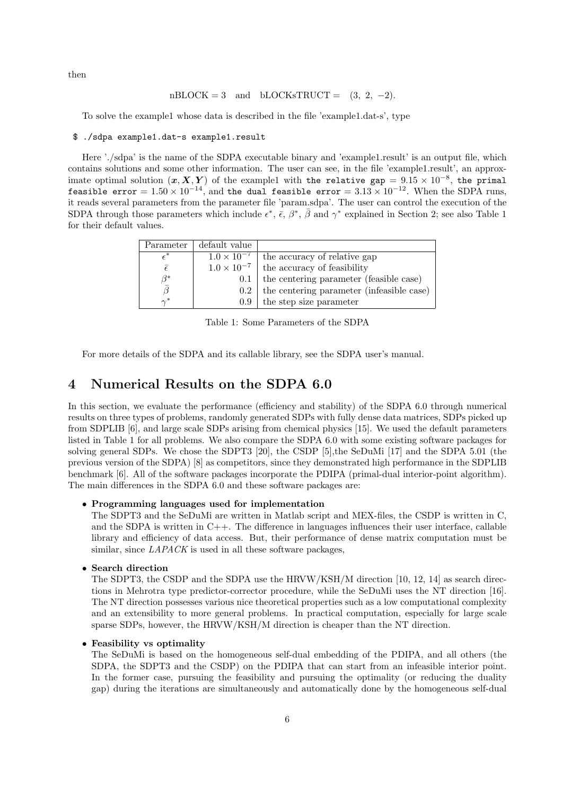then

### $n\text{BLOCK} = 3$  and  $b\text{LOCKsTRUCT} = (3, 2, -2)$ .

To solve the example1 whose data is described in the file 'example1.dat-s', type

#### \$ ./sdpa example1.dat-s example1.result

Here './sdpa' is the name of the SDPA executable binary and 'example1.result' is an output file, which contains solutions and some other information. The user can see, in the file 'example1.result', an approximate optimal solution  $(x, X, Y)$  of the example1 with the relative gap =  $9.15 \times 10^{-8}$ , the primal feasible error =  $1.50 \times 10^{-14}$ , and the dual feasible error =  $3.13 \times 10^{-12}$ . When the SDPA runs, it reads several parameters from the parameter file 'param.sdpa'. The user can control the execution of the SDPA through those parameters which include  $\epsilon^*, \bar{\epsilon}, \beta^*, \bar{\beta}$  and  $\gamma^*$  explained in Section 2; see also Table 1 for their default values.

| Parameter        | default value        |                                           |
|------------------|----------------------|-------------------------------------------|
| $\epsilon^*$     | $1.0 \times 10^{-7}$ | the accuracy of relative gap              |
| $\bar{\epsilon}$ | $1.0 \times 10^{-7}$ | the accuracy of feasibility               |
| $\beta^*$        | 0.1                  | the centering parameter (feasible case)   |
|                  | $0.2^{\circ}$        | the centering parameter (infeasible case) |
| $\sim^*$         | 0.9                  | the step size parameter                   |

Table 1: Some Parameters of the SDPA

For more details of the SDPA and its callable library, see the SDPA user's manual.

# 4 Numerical Results on the SDPA 6.0

In this section, we evaluate the performance (efficiency and stability) of the SDPA 6.0 through numerical results on three types of problems, randomly generated SDPs with fully dense data matrices, SDPs picked up from SDPLIB [6], and large scale SDPs arising from chemical physics [15]. We used the default parameters listed in Table 1 for all problems. We also compare the SDPA 6.0 with some existing software packages for solving general SDPs. We chose the SDPT3 [20], the CSDP [5],the SeDuMi [17] and the SDPA 5.01 (the previous version of the SDPA) [8] as competitors, since they demonstrated high performance in the SDPLIB benchmark [6]. All of the software packages incorporate the PDIPA (primal-dual interior-point algorithm). The main differences in the SDPA 6.0 and these software packages are:

### • Programming languages used for implementation

The SDPT3 and the SeDuMi are written in Matlab script and MEX-files, the CSDP is written in C, and the SDPA is written in  $C_{++}$ . The difference in languages influences their user interface, callable library and efficiency of data access. But, their performance of dense matrix computation must be similar, since *LAPACK* is used in all these software packages,

#### • Search direction

The SDPT3, the CSDP and the SDPA use the HRVW/KSH/M direction [10, 12, 14] as search directions in Mehrotra type predictor-corrector procedure, while the SeDuMi uses the NT direction [16]. The NT direction possesses various nice theoretical properties such as a low computational complexity and an extensibility to more general problems. In practical computation, especially for large scale sparse SDPs, however, the HRVW/KSH/M direction is cheaper than the NT direction.

#### • Feasibility vs optimality

The SeDuMi is based on the homogeneous self-dual embedding of the PDIPA, and all others (the SDPA, the SDPT3 and the CSDP) on the PDIPA that can start from an infeasible interior point. In the former case, pursuing the feasibility and pursuing the optimality (or reducing the duality gap) during the iterations are simultaneously and automatically done by the homogeneous self-dual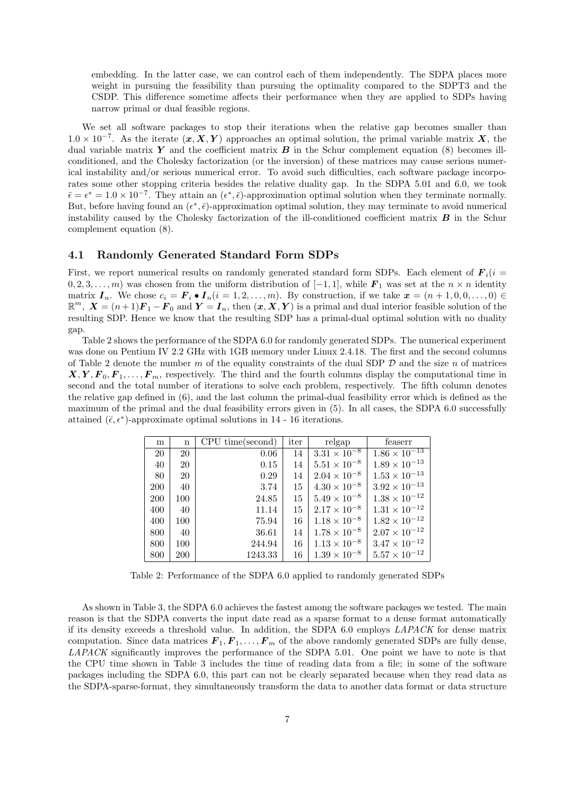embedding. In the latter case, we can control each of them independently. The SDPA places more weight in pursuing the feasibility than pursuing the optimality compared to the SDPT3 and the CSDP. This difference sometime affects their performance when they are applied to SDPs having narrow primal or dual feasible regions.

We set all software packages to stop their iterations when the relative gap becomes smaller than  $1.0 \times 10^{-7}$ . As the iterate  $(x, X, Y)$  approaches an optimal solution, the primal variable matrix X, the dual variable matrix  $Y$  and the coefficient matrix  $B$  in the Schur complement equation (8) becomes illconditioned, and the Cholesky factorization (or the inversion) of these matrices may cause serious numerical instability and/or serious numerical error. To avoid such difficulties, each software package incorporates some other stopping criteria besides the relative duality gap. In the SDPA 5.01 and 6.0, we took  $\bar{\epsilon} = \epsilon^* = 1.0 \times 10^{-7}$ . They attain an  $(\epsilon^*, \bar{\epsilon})$ -approximation optimal solution when they terminate normally. But, before having found an  $(\epsilon^*, \bar{\epsilon})$ -approximation optimal solution, they may terminate to avoid numerical instability caused by the Cholesky factorization of the ill-conditioned coefficient matrix  $\bm{B}$  in the Schur complement equation (8).

### 4.1 Randomly Generated Standard Form SDPs

First, we report numerical results on randomly generated standard form SDPs. Each element of  $\mathbf{F}_i(i =$  $(0, 2, 3, \ldots, m)$  was chosen from the uniform distribution of  $[-1, 1]$ , while  $\mathbf{F}_1$  was set at the  $n \times n$  identity matrix  $I_n$ . We chose  $c_i = \mathbf{F}_i \bullet \mathbf{I}_n (i = 1, 2, \ldots, m)$ . By construction, if we take  $\mathbf{x} = (n + 1, 0, 0, \ldots, 0) \in$  $\mathbb{R}^m$ ,  $\bm{X} = (n+1)\bm{F}_1 - \bm{F}_0$  and  $\bm{Y} = \bm{I}_n$ , then  $(\bm{x}, \bm{X}, \bm{Y})$  is a primal and dual interior feasible solution of the resulting SDP. Hence we know that the resulting SDP has a primal-dual optimal solution with no duality gap.

Table 2 shows the performance of the SDPA 6.0 for randomly generated SDPs. The numerical experiment was done on Pentium IV 2.2 GHz with 1GB memory under Linux 2.4.18. The first and the second columns of Table 2 denote the number m of the equality constraints of the dual SDP  $\mathcal D$  and the size n of matrices  $X, Y, F_0, F_1, \ldots, F_m$ , respectively. The third and the fourth columns display the computational time in second and the total number of iterations to solve each problem, respectively. The fifth column denotes the relative gap defined in (6), and the last column the primal-dual feasibility error which is defined as the maximum of the primal and the dual feasibility errors given in (5). In all cases, the SDPA 6.0 successfully attained  $(\bar{\epsilon}, \epsilon^*)$ -approximate optimal solutions in 14 - 16 iterations.

| m   | n   | CPU time(second) | iter   | relgap                | feaserr                           |
|-----|-----|------------------|--------|-----------------------|-----------------------------------|
| 20  | 20  | 0.06             | 14     | $3.31 \times 10^{-8}$ | $1.\overline{86 \times 10^{-13}}$ |
| 40  | 20  | 0.15             | 14     | $5.51 \times 10^{-8}$ | $1.89 \times 10^{-13}$            |
| 80  | 20  | 0.29             | 14     | $2.04 \times 10^{-8}$ | $1.53\times10^{-13}$              |
| 200 | 40  | 3.74             | 15     | $4.30 \times 10^{-8}$ | $3.92\times10^{-13}$              |
| 200 | 100 | 24.85            | $15-1$ | $5.49 \times 10^{-8}$ | $1.38\times10^{-12}$              |
| 400 | 40  | 11.14            | 15     | $2.17 \times 10^{-8}$ | $1.31\times10^{-12}$              |
| 400 | 100 | 75.94            | 16     | $1.18 \times 10^{-8}$ | $1.82\times10^{-12}$              |
| 800 | -40 | 36.61            | 14     | $1.78 \times 10^{-8}$ | $2.07 \times 10^{-12}$            |
| 800 | 100 | 244.94           | 16     | $1.13 \times 10^{-8}$ | $3.47\times10^{-12}$              |
| 800 | 200 | 1243.33          | 16     | $1.39 \times 10^{-8}$ | $5.57\times10^{-12}$              |

Table 2: Performance of the SDPA 6.0 applied to randomly generated SDPs

As shown in Table 3, the SDPA 6.0 achieves the fastest among the software packages we tested. The main reason is that the SDPA converts the input date read as a sparse format to a dense format automatically if its density exceeds a threshold value. In addition, the SDPA 6.0 employs LAPACK for dense matrix computation. Since data matrices  $\mathbf{F}_1,\mathbf{F}_1,\ldots,\mathbf{F}_m$  of the above randomly generated SDPs are fully dense, LAPACK significantly improves the performance of the SDPA 5.01. One point we have to note is that the CPU time shown in Table 3 includes the time of reading data from a file; in some of the software packages including the SDPA 6.0, this part can not be clearly separated because when they read data as the SDPA-sparse-format, they simultaneously transform the data to another data format or data structure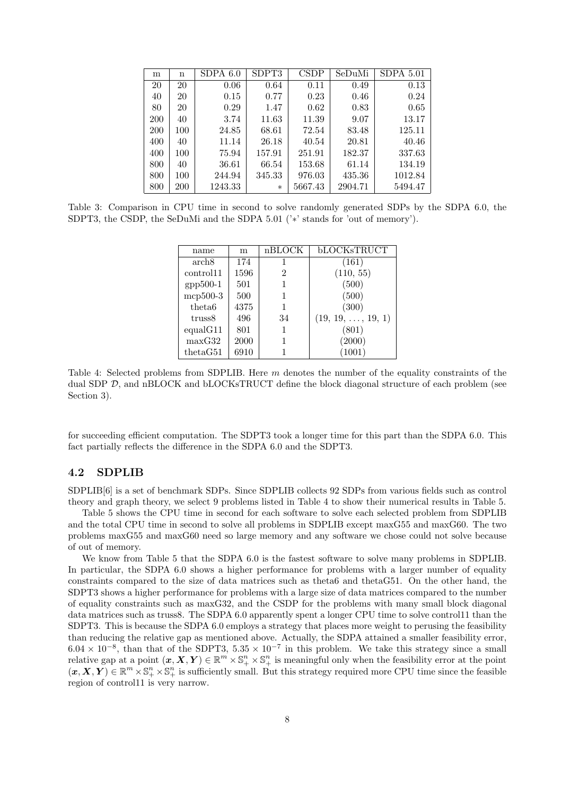| m          | n   | SDPA 6.0 | SDPT3  | <b>CSDP</b> | SeDuMi  | $SDPA$ 5.01 |
|------------|-----|----------|--------|-------------|---------|-------------|
| 20         | 20  | 0.06     | 0.64   | 0.11        | 0.49    | 0.13        |
| 40         | 20  | 0.15     | 0.77   | 0.23        | 0.46    | 0.24        |
| 80         | 20  | 0.29     | 1.47   | 0.62        | 0.83    | 0.65        |
| <b>200</b> | 40  | 3.74     | 11.63  | 11.39       | 9.07    | 13.17       |
| 200        | 100 | 24.85    | 68.61  | 72.54       | 83.48   | 125.11      |
| 400        | 40  | 11.14    | 26.18  | 40.54       | 20.81   | 40.46       |
| 400        | 100 | 75.94    | 157.91 | 251.91      | 182.37  | 337.63      |
| 800        | 40  | 36.61    | 66.54  | 153.68      | 61.14   | 134.19      |
| 800        | 100 | 244.94   | 345.33 | 976.03      | 435.36  | 1012.84     |
| 800        | 200 | 1243.33  | $\ast$ | 5667.43     | 2904.71 | 5494.47     |

Table 3: Comparison in CPU time in second to solve randomly generated SDPs by the SDPA 6.0, the SDPT3, the CSDP, the SeDuMi and the SDPA 5.01 ('\*' stands for 'out of memory').

| name               | m    | nBLOCK | bLOCKsTRUCT               |
|--------------------|------|--------|---------------------------|
| arch8              | 174  | 1      | (161)                     |
| control11          | 1596 | 2      | (110, 55)                 |
| $gpp500-1$         | 501  |        | (500)                     |
| mcp500-3           | 500  |        | (500)                     |
| theta <sub>6</sub> | 4375 | 1      | (300)                     |
| truss8             | 496  | 34     | $(19, 19, \ldots, 19, 1)$ |
| equal G11          | 801  |        | (801)                     |
| maxG32             | 2000 |        | (2000)                    |
| the taG51          | 6910 |        | 1001)                     |

Table 4: Selected problems from SDPLIB. Here m denotes the number of the equality constraints of the dual SDP D, and nBLOCK and bLOCKsTRUCT define the block diagonal structure of each problem (see Section 3).

for succeeding efficient computation. The SDPT3 took a longer time for this part than the SDPA 6.0. This fact partially reflects the difference in the SDPA 6.0 and the SDPT3.

### 4.2 SDPLIB

SDPLIB[6] is a set of benchmark SDPs. Since SDPLIB collects 92 SDPs from various fields such as control theory and graph theory, we select 9 problems listed in Table 4 to show their numerical results in Table 5.

Table 5 shows the CPU time in second for each software to solve each selected problem from SDPLIB and the total CPU time in second to solve all problems in SDPLIB except maxG55 and maxG60. The two problems maxG55 and maxG60 need so large memory and any software we chose could not solve because of out of memory.

We know from Table 5 that the SDPA 6.0 is the fastest software to solve many problems in SDPLIB. In particular, the SDPA 6.0 shows a higher performance for problems with a larger number of equality constraints compared to the size of data matrices such as theta6 and thetaG51. On the other hand, the SDPT3 shows a higher performance for problems with a large size of data matrices compared to the number of equality constraints such as maxG32, and the CSDP for the problems with many small block diagonal data matrices such as truss8. The SDPA 6.0 apparently spent a longer CPU time to solve control11 than the SDPT3. This is because the SDPA 6.0 employs a strategy that places more weight to perusing the feasibility than reducing the relative gap as mentioned above. Actually, the SDPA attained a smaller feasibility error,  $6.04 \times 10^{-8}$ , than that of the SDPT3,  $5.35 \times 10^{-7}$  in this problem. We take this strategy since a small relative gap at a point  $(x, X, Y) \in \mathbb{R}^m \times \mathbb{S}^n_+ \times \mathbb{S}^n_+$  is meaningful only when the feasibility error at the point  $(\bm{x}, \bm{X}, \bm{Y}) \in \mathbb{R}^m \times \mathbb{S}_+^n \times \mathbb{S}_+^n$  is sufficiently small. But this strategy required more CPU time since the feasible region of control11 is very narrow.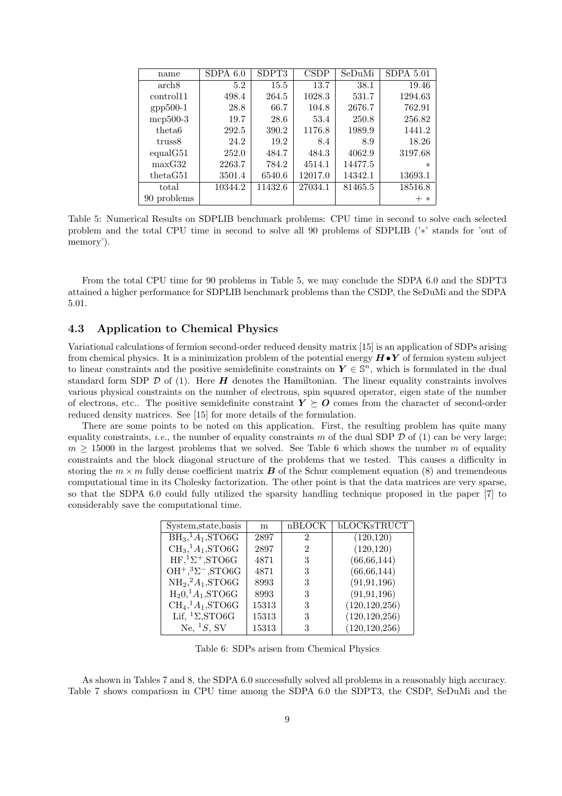| name               | $SDPA$ 6.0 | SDPT3   | <b>CSDP</b> | SeDuMi  | $SDPA$ 5.01 |
|--------------------|------------|---------|-------------|---------|-------------|
| arch8              | 5.2        | 15.5    | 13.7        | 38.1    | 19.46       |
| control11          | 498.4      | 264.5   | 1028.3      | 531.7   | 1294.63     |
| $gpp500-1$         | 28.8       | 66.7    | 104.8       | 2676.7  | 762.91      |
| $mcp500-3$         | 19.7       | 28.6    | 53.4        | 250.8   | 256.82      |
| theta <sub>6</sub> | 292.5      | 390.2   | 1176.8      | 1989.9  | 1441.2      |
| truss8             | 24.2       | 19.2    | 8.4         | 8.9     | 18.26       |
| equal G51          | 252.0      | 484.7   | 484.3       | 4062.9  | 3197.68     |
| maxG32             | 2263.7     | 784.2   | 4514.1      | 14477.5 | $\ast$      |
| thetaG51           | 3501.4     | 6540.6  | 12017.0     | 14342.1 | 13693.1     |
| total              | 10344.2    | 11432.6 | 27034.1     | 81465.5 | 18516.8     |
| 90 problems        |            |         |             |         | $\ast$      |

Table 5: Numerical Results on SDPLIB benchmark problems: CPU time in second to solve each selected problem and the total CPU time in second to solve all 90 problems of SDPLIB ('∗' stands for 'out of memory').

From the total CPU time for 90 problems in Table 5, we may conclude the SDPA 6.0 and the SDPT3 attained a higher performance for SDPLIB benchmark problems than the CSDP, the SeDuMi and the SDPA 5.01.

## 4.3 Application to Chemical Physics

Variational calculations of fermion second-order reduced density matrix [15] is an application of SDPs arising from chemical physics. It is a minimization problem of the potential energy  $H \bullet Y$  of fermion system subject to linear constraints and the positive semidefinite constraints on  $Y \in \mathbb{S}^n$ , which is formulated in the dual standard form SDP  $\mathcal D$  of (1). Here  $H$  denotes the Hamiltonian. The linear equality constraints involves various physical constraints on the number of electrons, spin squared operator, eigen state of the number of electrons, etc.. The positive semidefinite constraint  $Y \succeq O$  comes from the character of second-order reduced density matrices. See [15] for more details of the formulation.

There are some points to be noted on this application. First, the resulting problem has quite many equality constraints, *i.e.*, the number of equality constraints m of the dual SDP  $D$  of (1) can be very large;  $m \geq 15000$  in the largest problems that we solved. See Table 6 which shows the number m of equality constraints and the block diagonal structure of the problems that we tested. This causes a difficulty in storing the  $m \times m$  fully dense coefficient matrix **B** of the Schur complement equation (8) and tremendeous computational time in its Cholesky factorization. The other point is that the data matrices are very sparse, so that the SDPA 6.0 could fully utilized the sparsity handling technique proposed in the paper [7] to considerably save the computational time.

| System, state, basis        | m     | nBLOCK         | <b>bLOCKsTRUCT</b> |
|-----------------------------|-------|----------------|--------------------|
| $BH3,1A1, STO6G$            | 2897  | $\overline{2}$ | (120, 120)         |
| $CH3,1A1,STO6G$             | 2897  | 2              | (120, 120)         |
| $HF, 1Σ+, STOGG$            | 4871  | 3              | (66, 66, 144)      |
| $OH^+,{}^3\Sigma-,STO6G$    | 4871  | 3              | (66, 66, 144)      |
| $NH2,2A1,STO6G$             | 8993  | 3              | (91, 91, 196)      |
| $H_2 0, ^1A_1$ , STO6G      | 8993  | 3              | (91, 91, 196)      |
| $CH4, 1A1, STO6G$           | 15313 | 3              | (120, 120, 256)    |
| Lif, ${}^{1}\Sigma$ , STO6G | 15313 | 3              | (120, 120, 256)    |
| Ne, ${}^1S$ , SV            | 15313 | 3              | (120, 120, 256)    |

Table 6: SDPs arisen from Chemical Physics

As shown in Tables 7 and 8, the SDPA 6.0 successfully solved all problems in a reasonably high accuracy. Table 7 shows compariosn in CPU time among the SDPA 6.0 the SDPT3, the CSDP, SeDuMi and the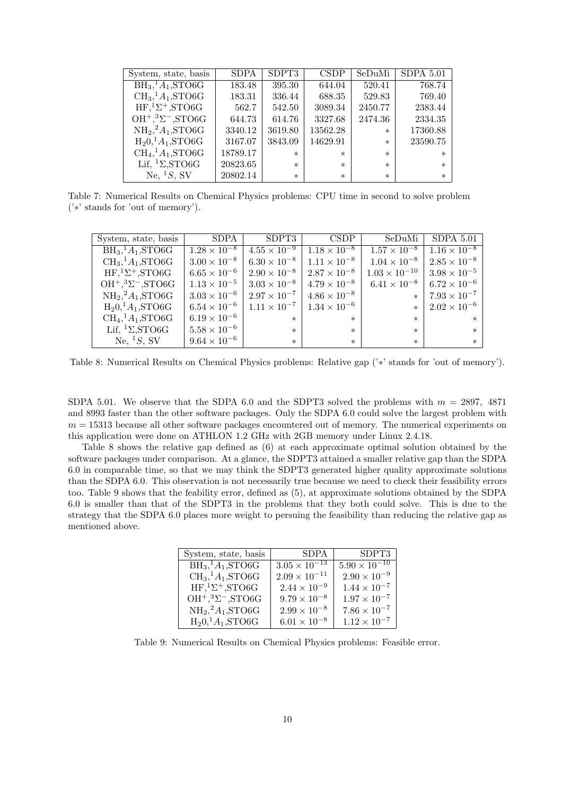| System, state, basis                | <b>SDPA</b> | SDPT3   | <b>CSDP</b> | SeDuMi  | <b>SDPA 5.01</b> |
|-------------------------------------|-------------|---------|-------------|---------|------------------|
| $BH3,1A1, STO6G$                    | 183.48      | 395.30  | 644.04      | 520.41  | 768.74           |
| $\mathrm{CH}_3$ , ${}^1A_1$ , STO6G | 183.31      | 336.44  | 688.35      | 529.83  | 769.40           |
| $HF, 1Σ+, STO6G$                    | 562.7       | 542.50  | 3089.34     | 2450.77 | 2383.44          |
| $OH^+,{}^3\Sigma-,STO6G$            | 644.73      | 614.76  | 3327.68     | 2474.36 | 2334.35          |
| $NH2,2A1,STO6G$                     | 3340.12     | 3619.80 | 13562.28    | $\ast$  | 17360.88         |
| $H_2 0, ^1A_1$ , STO6G              | 3167.07     | 3843.09 | 14629.91    | $\ast$  | 23590.75         |
| $CH4, 1A1, STO6G$                   | 18789.17    | $\ast$  | $\ast$      | $\ast$  | $\ast$           |
| Lif, ${}^{1}\Sigma$ , STO6G         | 20823.65    | $\ast$  | $\ast$      | $\ast$  | $\ast$           |
| Ne, ${}^1S$ , SV                    | 20802.14    | $\ast$  | $\ast$      | $\ast$  | $\ast$           |

Table 7: Numerical Results on Chemical Physics problems: CPU time in second to solve problem ('∗' stands for 'out of memory').

| System, state, basis                     | SDPA                  | SDPT3                 | <b>CSDP</b>           | SeDuMi                 | $SDPA$ 5.01           |
|------------------------------------------|-----------------------|-----------------------|-----------------------|------------------------|-----------------------|
| $\overline{\text{BH}_3}$ , $A_1$ , STO6G | $1.28 \times 10^{-8}$ | $4.55 \times 10^{-9}$ | $1.18 \times 10^{-8}$ | $1.57 \times 10^{-8}$  | $1.16 \times 10^{-8}$ |
| $CH3,1A1,STO6G$                          | $3.00 \times 10^{-8}$ | $6.30 \times 10^{-8}$ | $1.11 \times 10^{-8}$ | $1.04 \times 10^{-8}$  | $2.85 \times 10^{-8}$ |
| $HF, 1Σ+, STO6G$                         | $6.65 \times 10^{-6}$ | $2.90 \times 10^{-8}$ | $2.87 \times 10^{-8}$ | $1.03 \times 10^{-10}$ | $3.98 \times 10^{-5}$ |
| $OH^+,{}^3\Sigma^-,$ STO6G               | $1.13 \times 10^{-5}$ | $3.03 \times 10^{-8}$ | $4.79 \times 10^{-8}$ | $6.41 \times 10^{-8}$  | $6.72 \times 10^{-6}$ |
| $NH2,2A1,STO6G$                          | $3.03 \times 10^{-6}$ | $2.97 \times 10^{-7}$ | $4.86 \times 10^{-8}$ | $\ast$                 | $7.93 \times 10^{-7}$ |
| $H_2 0, ^1A_1$ , STO6G                   | $6.54 \times 10^{-6}$ | $1.11 \times 10^{-7}$ | $1.34 \times 10^{-6}$ | $\ast$                 | $2.02 \times 10^{-6}$ |
| $CH4, 1A1, STOGG$                        | $6.19 \times 10^{-6}$ | $\ast$                | $\ast$                | $\ast$                 | $\ast$                |
| Lif, ${}^{1}\Sigma$ , STO6G              | $5.58 \times 10^{-6}$ | $\ast$                | $\ast$                | $\ast$                 | $\ast$                |
| Ne, ${}^1S$ , SV                         | $9.64 \times 10^{-6}$ | $\ast$                | $\ast$                | $\ast$                 | $\ast$                |

Table 8: Numerical Results on Chemical Physics problems: Relative gap ('∗' stands for 'out of memory').

SDPA 5.01. We observe that the SDPA 6.0 and the SDPT3 solved the problems with  $m = 2897, 4871$ and 8993 faster than the other software packages. Only the SDPA 6.0 could solve the largest problem with  $m = 15313$  because all other software packages encountered out of memory. The numerical experiments on this application were done on ATHLON 1.2 GHz with 2GB memory under Linux 2.4.18.

Table 8 shows the relative gap defined as (6) at each approximate optimal solution obtained by the software packages under comparison. At a glance, the SDPT3 attained a smaller relative gap than the SDPA 6.0 in comparable time, so that we may think the SDPT3 generated higher quality approximate solutions than the SDPA 6.0. This observation is not necessarily true because we need to check their feasibility errors too. Table 9 shows that the feability error, defined as (5), at approximate solutions obtained by the SDPA 6.0 is smaller than that of the SDPT3 in the problems that they both could solve. This is due to the strategy that the SDPA 6.0 places more weight to persuing the feasibility than reducing the relative gap as mentioned above.

| <b>SDPA</b>            | SDPT3                  |
|------------------------|------------------------|
|                        | $5.90 \times 10^{-10}$ |
| $2.09 \times 10^{-11}$ | $2.90 \times 10^{-9}$  |
| $2.44 \times 10^{-9}$  | $1.44 \times 10^{-7}$  |
| $9.79 \times 10^{-8}$  | $1.97 \times 10^{-7}$  |
| $2.99 \times 10^{-8}$  | $7.86 \times 10^{-7}$  |
| $6.01 \times 10^{-8}$  | $1.12 \times 10^{-7}$  |
|                        | $3.05 \times 10^{-13}$ |

Table 9: Numerical Results on Chemical Physics problems: Feasible error.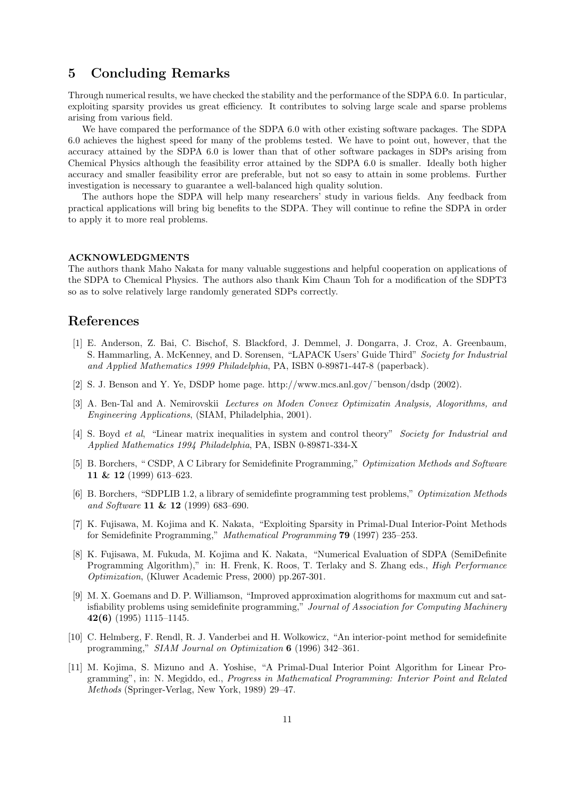# 5 Concluding Remarks

Through numerical results, we have checked the stability and the performance of the SDPA 6.0. In particular, exploiting sparsity provides us great efficiency. It contributes to solving large scale and sparse problems arising from various field.

We have compared the performance of the SDPA 6.0 with other existing software packages. The SDPA 6.0 achieves the highest speed for many of the problems tested. We have to point out, however, that the accuracy attained by the SDPA 6.0 is lower than that of other software packages in SDPs arising from Chemical Physics although the feasibility error attained by the SDPA 6.0 is smaller. Ideally both higher accuracy and smaller feasibility error are preferable, but not so easy to attain in some problems. Further investigation is necessary to guarantee a well-balanced high quality solution.

The authors hope the SDPA will help many researchers' study in various fields. Any feedback from practical applications will bring big benefits to the SDPA. They will continue to refine the SDPA in order to apply it to more real problems.

### ACKNOWLEDGMENTS

The authors thank Maho Nakata for many valuable suggestions and helpful cooperation on applications of the SDPA to Chemical Physics. The authors also thank Kim Chaun Toh for a modification of the SDPT3 so as to solve relatively large randomly generated SDPs correctly.

# References

- [1] E. Anderson, Z. Bai, C. Bischof, S. Blackford, J. Demmel, J. Dongarra, J. Croz, A. Greenbaum, S. Hammarling, A. McKenney, and D. Sorensen, "LAPACK Users' Guide Third" Society for Industrial and Applied Mathematics 1999 Philadelphia, PA, ISBN 0-89871-447-8 (paperback).
- [2] S. J. Benson and Y. Ye, DSDP home page. http://www.mcs.anl.gov/˜benson/dsdp (2002).
- [3] A. Ben-Tal and A. Nemirovskii Lectures on Moden Convex Optimizatin Analysis, Alogorithms, and Engineering Applications, (SIAM, Philadelphia, 2001).
- [4] S. Boyd et al, "Linear matrix inequalities in system and control theory" Society for Industrial and Applied Mathematics 1994 Philadelphia, PA, ISBN 0-89871-334-X
- [5] B. Borchers, " CSDP, A C Library for Semidefinite Programming," Optimization Methods and Software 11 & 12 (1999) 613–623.
- [6] B. Borchers, "SDPLIB 1.2, a library of semidefinte programming test problems," Optimization Methods and Software 11 & 12 (1999) 683–690.
- [7] K. Fujisawa, M. Kojima and K. Nakata, "Exploiting Sparsity in Primal-Dual Interior-Point Methods for Semidefinite Programming," Mathematical Programming 79 (1997) 235–253.
- [8] K. Fujisawa, M. Fukuda, M. Kojima and K. Nakata, "Numerical Evaluation of SDPA (SemiDefinite Programming Algorithm)," in: H. Frenk, K. Roos, T. Terlaky and S. Zhang eds., *High Performance* Optimization, (Kluwer Academic Press, 2000) pp.267-301.
- [9] M. X. Goemans and D. P. Williamson, "Improved approximation alogrithoms for maxmum cut and satisfiability problems using semidefinite programming," Journal of Association for Computing Machinery 42(6) (1995) 1115–1145.
- [10] C. Helmberg, F. Rendl, R. J. Vanderbei and H. Wolkowicz, "An interior-point method for semidefinite programming," SIAM Journal on Optimization 6 (1996) 342–361.
- [11] M. Kojima, S. Mizuno and A. Yoshise, "A Primal-Dual Interior Point Algorithm for Linear Programming", in: N. Megiddo, ed., Progress in Mathematical Programming: Interior Point and Related Methods (Springer-Verlag, New York, 1989) 29–47.